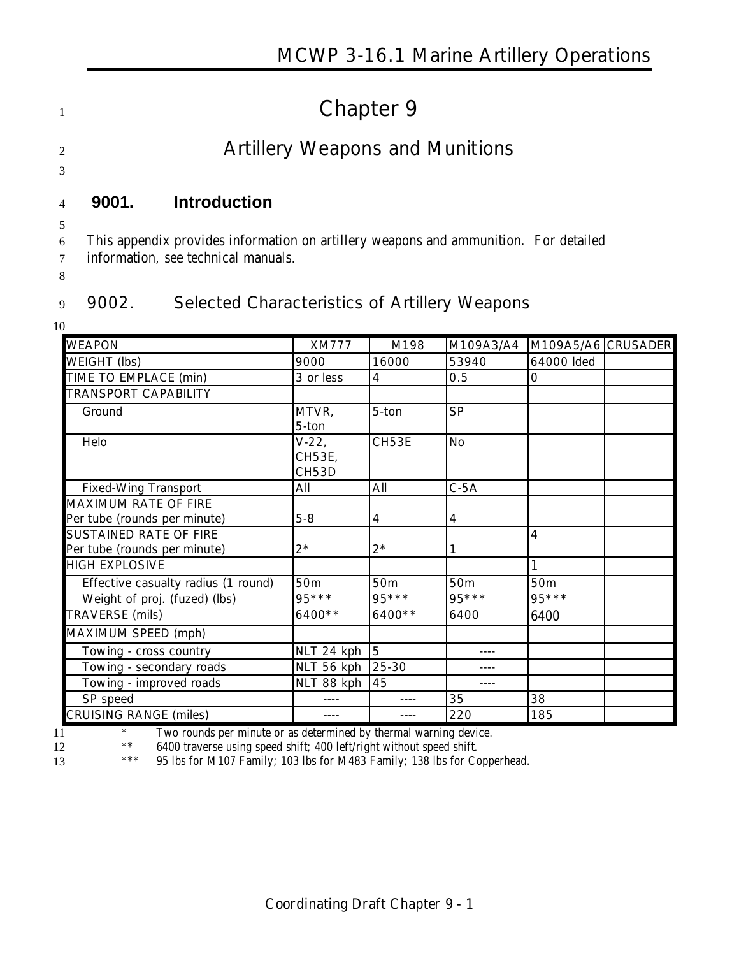# 1 **Chapter 9**

# <sup>2</sup> **Artillery Weapons and Munitions**

3

## 4 **9001. Introduction**

5

6 This appendix provides information on artillery weapons and ammunition. For detailed

7 information, see technical manuals.

8

### 9 **9002. Selected Characteristics of Artillery Weapons**

10

| <b>WEAPON</b>                                                 | <b>XM777</b>               | M198     | M109A3/A4       | M109A5/A6 CRUSADER |  |
|---------------------------------------------------------------|----------------------------|----------|-----------------|--------------------|--|
| WEIGHT (lbs)                                                  | 9000                       | 16000    | 53940           | 64000 Ided         |  |
| TIME TO EMPLACE (min)                                         | 3 or less                  | 4        | 0.5             | 0                  |  |
| <b>TRANSPORT CAPABILITY</b>                                   |                            |          |                 |                    |  |
| Ground                                                        | MTVR,<br>5-ton             | 5-ton    | <b>SP</b>       |                    |  |
| Helo                                                          | $V-22,$<br>CH53E,<br>CH53D | CH53E    | <b>No</b>       |                    |  |
| <b>Fixed-Wing Transport</b>                                   | All                        | All      | $C-5A$          |                    |  |
| MAXIMUM RATE OF FIRE<br>Per tube (rounds per minute)          | $5 - 8$                    | 4        | 4               |                    |  |
| <b>SUSTAINED RATE OF FIRE</b><br>Per tube (rounds per minute) | $2*$                       | $2^*$    | 1               | $\overline{4}$     |  |
| <b>HIGH EXPLOSIVE</b>                                         |                            |          |                 |                    |  |
| Effective casualty radius (1 round)                           | 50 <sub>m</sub>            | 50m      | 50 <sub>m</sub> | 50 <sub>m</sub>    |  |
| Weight of proj. (fuzed) (lbs)                                 | $95***$                    | $95***$  | $95***$         | $95***$            |  |
| TRAVERSE (mils)                                               | $6400**$                   | $6400**$ | 6400            | 6400               |  |
| MAXIMUM SPEED (mph)                                           |                            |          |                 |                    |  |
| Towing - cross country                                        | NLT 24 kph                 | 5        |                 |                    |  |
| Towing - secondary roads                                      | NLT 56 kph                 | 25-30    |                 |                    |  |
| Towing - improved roads                                       | NLT 88 kph                 | 45       | ----            |                    |  |
| SP speed                                                      |                            |          | 35              | 38                 |  |
| <b>CRUISING RANGE (miles)</b>                                 |                            |          | 220             | 185                |  |

<sup>\*</sup> Two rounds per minute or as determined by thermal warning device.<br><sup>\*\*</sup> 6400 traverse using speed shift: 400 left/right without speed shift

<sup>\*\*</sup> 6400 traverse using speed shift; 400 left/right without speed shift.<br><sup>\*\*\*</sup> 95 lbs for M107 Family: 103 lbs for M483 Family: 138 lbs for Co 13 \*\*\* 95 lbs for M107 Family; 103 lbs for M483 Family; 138 lbs for Copperhead.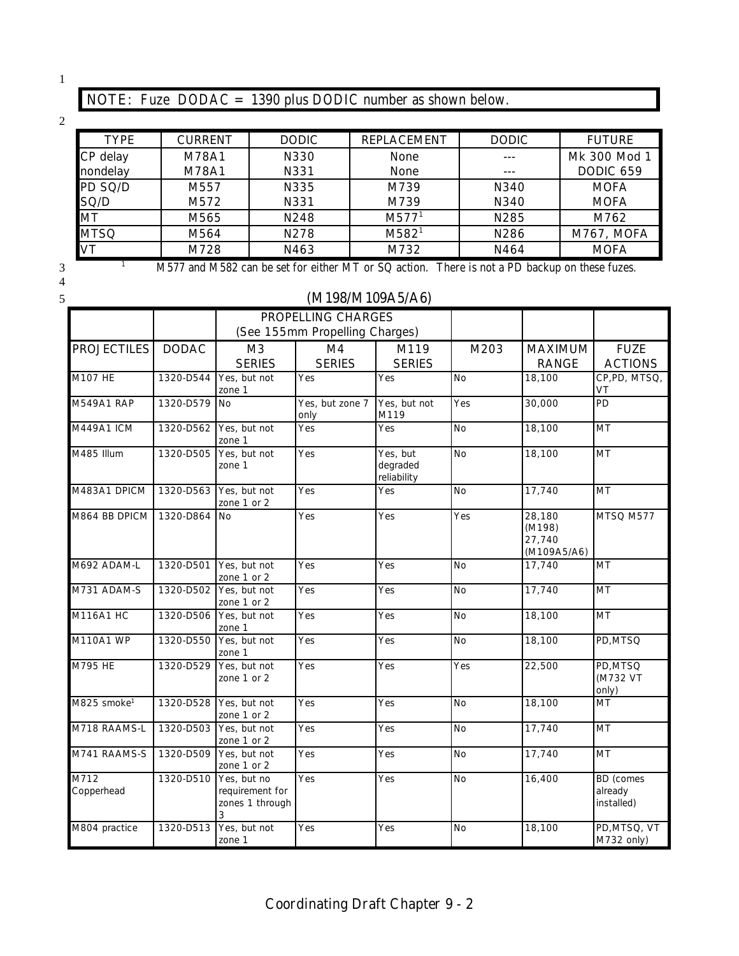1

# **NOTE:** Fuze DODAC = 1390 plus DODIC number as shown below.

2

| <b>TYPE</b> | <b>CURRENT</b> | <b>DODIC</b> | <b>REPLACEMENT</b> | <b>DODIC</b> | <b>FUTURE</b>    |
|-------------|----------------|--------------|--------------------|--------------|------------------|
| CP delay    | M78A1          | N330         | <b>None</b>        |              | Mk 300 Mod 1     |
| nondelay    | M78A1          | N331         | None               |              | <b>DODIC 659</b> |
| PD SQ/D     | M557           | N335         | M739               | N340         | <b>MOFA</b>      |
| SQ/D        | M572           | N331         | M739               | N340         | <b>MOFA</b>      |
| <b>MT</b>   | M565           | N248         | M577 <sup>1</sup>  | N285         | M762             |
| <b>MTSQ</b> | M564           | N278         | M582 <sup>1</sup>  | N286         | M767, MOFA       |
| VT          | M728           | N463         | M732               | N464         | <b>MOFA</b>      |

4

#### <sup>1</sup> M577 and M582 can be set for either MT or SQ action. There is not a PD backup on these fuzes.

#### 5 **(M198/M109A5/A6)**

|                         |              |                                                        | <b>PROPELLING CHARGES</b>      |                                     |           |                                           |                                           |
|-------------------------|--------------|--------------------------------------------------------|--------------------------------|-------------------------------------|-----------|-------------------------------------------|-------------------------------------------|
|                         |              |                                                        | (See 155mm Propelling Charges) |                                     |           |                                           |                                           |
| <b>PROJECTILES</b>      | <b>DODAC</b> | M <sub>3</sub><br><b>SERIES</b>                        | M4<br><b>SERIES</b>            | M119<br><b>SERIES</b>               | M203      | <b>MAXIMUM</b><br><b>RANGE</b>            | <b>FUZE</b><br><b>ACTIONS</b>             |
| M107 HE                 | 1320-D544    | Yes, but not<br>zone 1                                 | Yes                            | Yes                                 | <b>No</b> | 18,100                                    | CP, PD, MTSQ,<br>VT                       |
| M549A1 RAP              | 1320-D579    | <b>No</b>                                              | Yes, but zone 7<br>only        | Yes, but not<br>M119                | Yes       | 30,000                                    | PD                                        |
| M449A1 ICM              | 1320-D562    | Yes, but not<br>zone 1                                 | Yes                            | Yes                                 | <b>No</b> | 18,100                                    | <b>MT</b>                                 |
| M485 Illum              | 1320-D505    | Yes, but not<br>zone 1                                 | Yes                            | Yes, but<br>degraded<br>reliability | <b>No</b> | 18,100                                    | MT                                        |
| M483A1 DPICM            | 1320-D563    | Yes, but not<br>zone 1 or 2                            | Yes                            | Yes                                 | <b>No</b> | 17,740                                    | $\overline{MT}$                           |
| M864 BB DPICM           | 1320-D864    | <b>No</b>                                              | Yes                            | Yes                                 | Yes       | 28,180<br>(M198)<br>27.740<br>(M109A5/A6) | MTSQ M577                                 |
| M692 ADAM-L             | 1320-D501    | Yes, but not<br>zone 1 or 2                            | Yes                            | Yes                                 | <b>No</b> | 17,740                                    | MT                                        |
| M731 ADAM-S             | 1320-D502    | Yes, but not<br>zone 1 or 2                            | Yes                            | Yes                                 | <b>No</b> | 17,740                                    | MT                                        |
| <b>M116A1 HC</b>        | 1320-D506    | Yes, but not<br>zone 1                                 | Yes                            | Yes                                 | <b>No</b> | 18,100                                    | MT                                        |
| M110A1 WP               | 1320-D550    | Yes, but not<br>zone 1                                 | Yes                            | Yes                                 | <b>No</b> | 18,100                                    | PD, MTSQ                                  |
| M795 HE                 | 1320-D529    | Yes, but not<br>zone 1 or 2                            | Yes                            | Yes                                 | Yes       | 22,500                                    | PD, MTSQ<br>(M732 VT<br>only)             |
| M825 smoke <sup>1</sup> | 1320-D528    | Yes, but not<br>zone 1 or 2                            | Yes                            | Yes                                 | <b>No</b> | 18,100                                    | <b>MT</b>                                 |
| M718 RAAMS-L            | 1320-D503    | Yes, but not<br>zone 1 or 2                            | Yes                            | Yes                                 | <b>No</b> | 17,740                                    | MT                                        |
| M741 RAAMS-S            | 1320-D509    | Yes, but not<br>zone 1 or 2                            | Yes                            | Yes                                 | <b>No</b> | 17,740                                    | MT                                        |
| M712<br>Copperhead      | 1320-D510    | Yes, but no<br>requirement for<br>zones 1 through<br>3 | Yes                            | Yes                                 | <b>No</b> | 16,400                                    | <b>BD</b> (comes<br>already<br>installed) |
| M804 practice           | 1320-D513    | Yes, but not<br>zone 1                                 | Yes                            | Yes                                 | <b>No</b> | 18,100                                    | PD,MTSQ, VT<br>M732 only)                 |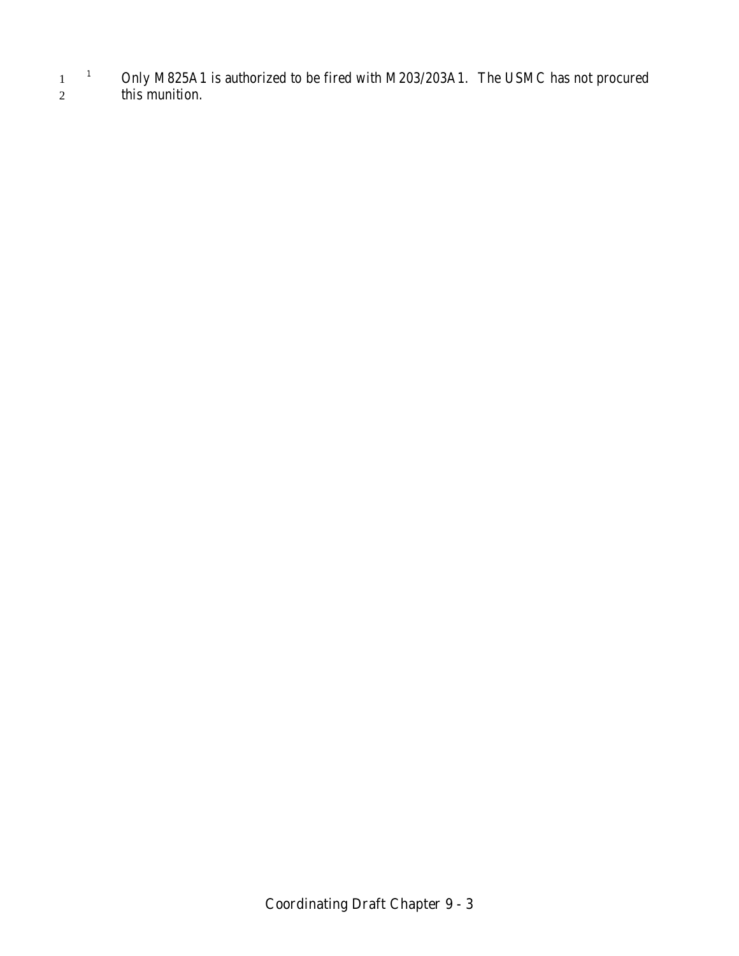<sup>1</sup> Only M825A1 is authorized to be fired with M203/203A1. The USMC has not procured 2 this munition.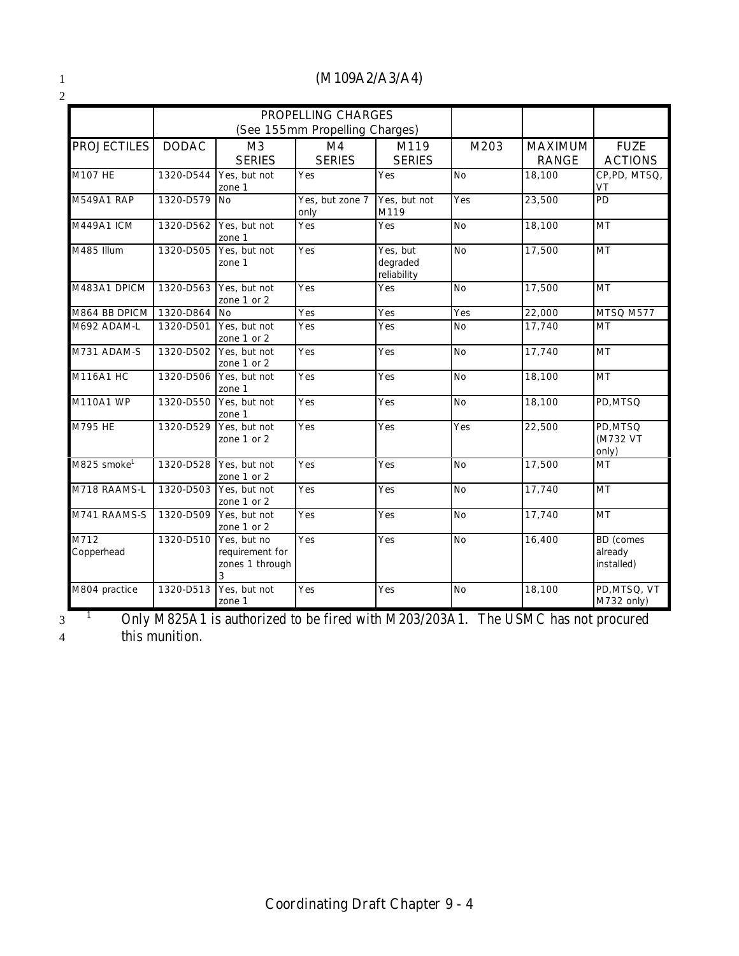2

#### 1 **(M109A2/A3/A4)**

|                         |              |                                                        | <b>PROPELLING CHARGES</b><br>(See 155mm Propelling Charges) |                                     |           |                                |                                           |
|-------------------------|--------------|--------------------------------------------------------|-------------------------------------------------------------|-------------------------------------|-----------|--------------------------------|-------------------------------------------|
| <b>PROJECTILES</b>      | <b>DODAC</b> | M <sub>3</sub><br><b>SERIES</b>                        | M4<br><b>SERIES</b>                                         | M119<br><b>SERIES</b>               | M203      | <b>MAXIMUM</b><br><b>RANGE</b> | <b>FUZE</b><br><b>ACTIONS</b>             |
| M107 HE                 | 1320-D544    | Yes, but not<br>zone 1                                 | Yes                                                         | Yes                                 | <b>No</b> | 18,100                         | CP,PD, MTSQ,<br>VT                        |
| <b>M549A1 RAP</b>       | 1320-D579    | <b>No</b>                                              | Yes, but zone 7<br>only                                     | Yes, but not<br>M119                | Yes       | 23,500                         | PD                                        |
| M449A1 ICM              | 1320-D562    | Yes, but not<br>zone 1                                 | Yes                                                         | Yes                                 | <b>No</b> | 18,100                         | <b>MT</b>                                 |
| M485 Illum              | 1320-D505    | Yes, but not<br>zone 1                                 | Yes                                                         | Yes, but<br>degraded<br>reliability | <b>No</b> | 17,500                         | MT                                        |
| M483A1 DPICM            | 1320-D563    | Yes, but not<br>zone 1 or 2                            | Yes                                                         | Yes                                 | <b>No</b> | 17,500                         | MT                                        |
| M864 BB DPICM           | 1320-D864    | <b>No</b>                                              | Yes                                                         | Yes                                 | Yes       | 22,000                         | MTSQ M577                                 |
| M692 ADAM-L             | 1320-D501    | Yes, but not<br>zone 1 or 2                            | Yes                                                         | Yes                                 | <b>No</b> | 17,740                         | <b>MT</b>                                 |
| M731 ADAM-S             | 1320-D502    | Yes, but not<br>zone 1 or 2                            | Yes                                                         | Yes                                 | No        | 17,740                         | MT                                        |
| M116A1 HC               | 1320-D506    | Yes, but not<br>zone 1                                 | Yes                                                         | Yes                                 | <b>No</b> | 18,100                         | MT                                        |
| M110A1 WP               | 1320-D550    | Yes, but not<br>zone 1                                 | Yes                                                         | Yes                                 | <b>No</b> | 18,100                         | PD.MTSQ                                   |
| M795 HE                 | 1320-D529    | Yes, but not<br>zone 1 or 2                            | Yes                                                         | Yes                                 | Yes       | 22,500                         | PD, MTSQ<br>(M732 VT<br>only)             |
| M825 smoke <sup>1</sup> | 1320-D528    | Yes, but not<br>zone 1 or 2                            | Yes                                                         | Yes                                 | <b>No</b> | 17,500                         | <b>MT</b>                                 |
| M718 RAAMS-L            | 1320-D503    | Yes, but not<br>zone 1 or 2                            | Yes                                                         | Yes                                 | <b>No</b> | 17,740                         | <b>MT</b>                                 |
| M741 RAAMS-S            | 1320-D509    | Yes, but not<br>zone 1 or 2                            | Yes                                                         | Yes                                 | <b>No</b> | 17,740                         | <b>MT</b>                                 |
| M712<br>Copperhead      | 1320-D510    | Yes, but no<br>requirement for<br>zones 1 through<br>3 | Yes                                                         | Yes                                 | <b>No</b> | 16,400                         | <b>BD</b> (comes<br>already<br>installed) |
| M804 practice           | 1320-D513    | Yes, but not<br>zone 1                                 | Yes                                                         | Yes                                 | <b>No</b> | 18,100                         | PD, MTSQ, VT<br>M732 only)                |

<sup>1</sup> Only M825A1 is authorized to be fired with M203/203A1. The USMC has not procured 4 this munition.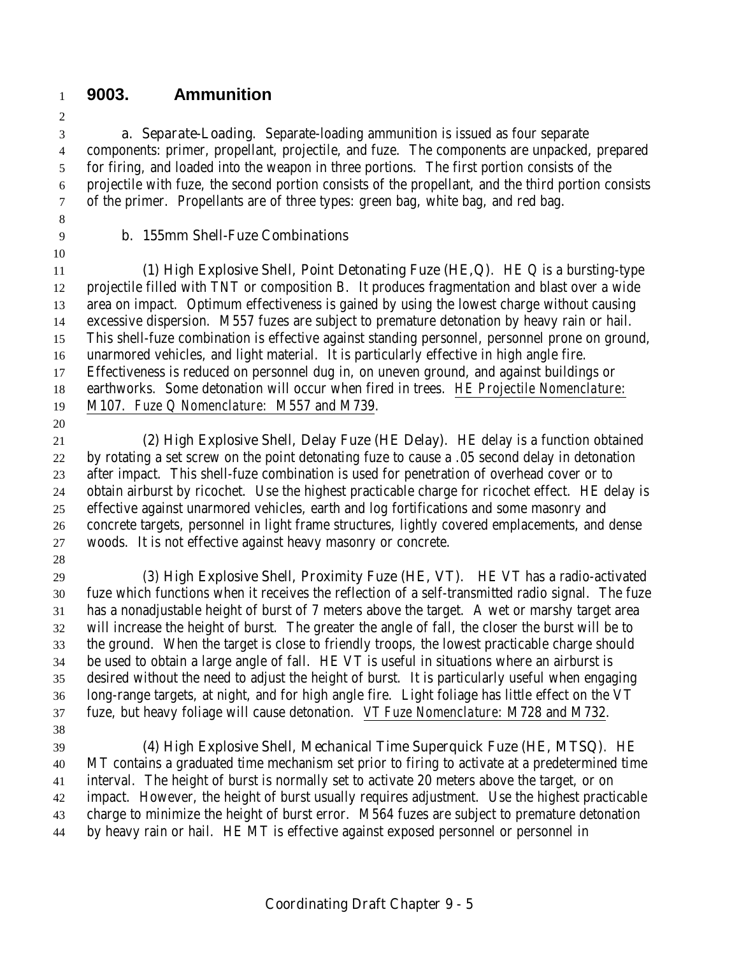### **9003. Ammunition**

 **a. Separate-Loading**. Separate-loading ammunition is issued as four separate components: primer, propellant, projectile, and fuze. The components are unpacked, prepared for firing, and loaded into the weapon in three portions. The first portion consists of the projectile with fuze, the second portion consists of the propellant, and the third portion consists of the primer. Propellants are of three types: green bag, white bag, and red bag.

#### **b. 155mm Shell-Fuze Combinations**

 **(1) High Explosive Shell, Point Detonating Fuze (HE,Q)**. HE Q is a bursting-type projectile filled with TNT or composition B. It produces fragmentation and blast over a wide area on impact. Optimum effectiveness is gained by using the lowest charge without causing excessive dispersion. M557 fuzes are subject to premature detonation by heavy rain or hail. This shell-fuze combination is effective against standing personnel, personnel prone on ground, unarmored vehicles, and light material. It is particularly effective in high angle fire. Effectiveness is reduced on personnel dug in, on uneven ground, and against buildings or earthworks. Some detonation will occur when fired in trees. *HE Projectile Nomenclature*: M107. *Fuze Q Nomenclature:* M557 and M739.

 **(2) High Explosive Shell, Delay Fuze (HE Delay)**. HE delay is a function obtained by rotating a set screw on the point detonating fuze to cause a .05 second delay in detonation after impact. This shell-fuze combination is used for penetration of overhead cover or to obtain airburst by ricochet. Use the highest practicable charge for ricochet effect. HE delay is effective against unarmored vehicles, earth and log fortifications and some masonry and concrete targets, personnel in light frame structures, lightly covered emplacements, and dense woods. It is not effective against heavy masonry or concrete.

(3) **High Explosive Shell, Proximity Fuze (HE, VT)**. HE VT has a radio-activated fuze which functions when it receives the reflection of a self-transmitted radio signal. The fuze has a nonadjustable height of burst of 7 meters above the target. A wet or marshy target area will increase the height of burst. The greater the angle of fall, the closer the burst will be to the ground. When the target is close to friendly troops, the lowest practicable charge should be used to obtain a large angle of fall. HE VT is useful in situations where an airburst is desired without the need to adjust the height of burst. It is particularly useful when engaging long-range targets, at night, and for high angle fire. Light foliage has little effect on the VT fuze, but heavy foliage will cause detonation. *VT Fuze Nomenclature*: M728 and M732. 

 **(4) High Explosive Shell, Mechanical Time Superquick Fuze (HE, MTSQ)**. HE MT contains a graduated time mechanism set prior to firing to activate at a predetermined time interval. The height of burst is normally set to activate 20 meters above the target, or on impact. However, the height of burst usually requires adjustment. Use the highest practicable charge to minimize the height of burst error. M564 fuzes are subject to premature detonation by heavy rain or hail. HE MT is effective against exposed personnel or personnel in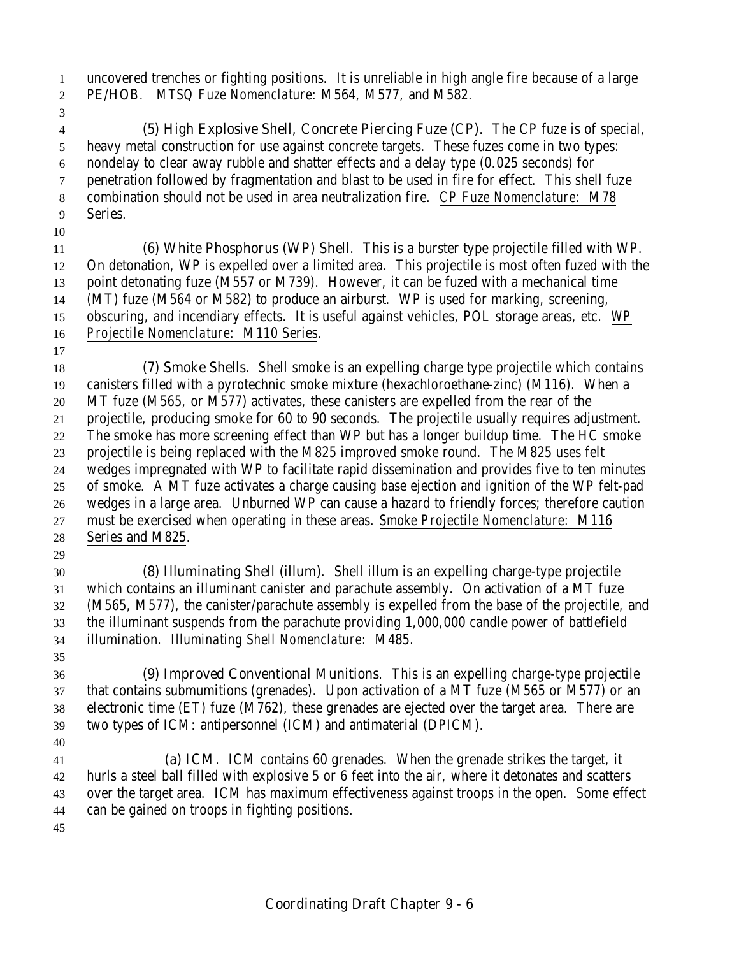uncovered trenches or fighting positions. It is unreliable in high angle fire because of a large PE/HOB. *MTSQ Fuze Nomenclature*: M564, M577, and M582.

 **(5) High Explosive Shell, Concrete Piercing Fuze (CP)**. The CP fuze is of special, heavy metal construction for use against concrete targets. These fuzes come in two types: nondelay to clear away rubble and shatter effects and a delay type (0.025 seconds) for penetration followed by fragmentation and blast to be used in fire for effect. This shell fuze combination should not be used in area neutralization fire. *CP Fuze Nomenclature*: M78 Series.

 **(6) White Phosphorus (WP) Shell**. This is a burster type projectile filled with WP. On detonation, WP is expelled over a limited area. This projectile is most often fuzed with the point detonating fuze (M557 or M739). However, it can be fuzed with a mechanical time (MT) fuze (M564 or M582) to produce an airburst. WP is used for marking, screening, obscuring, and incendiary effects. It is useful against vehicles, POL storage areas, etc. *WP Projectile Nomenclature*:M110 Series.

 **(7) Smoke Shells**. Shell smoke is an expelling charge type projectile which contains canisters filled with a pyrotechnic smoke mixture (hexachloroethane-zinc) (M116). When a MT fuze (M565, or M577) activates, these canisters are expelled from the rear of the projectile, producing smoke for 60 to 90 seconds. The projectile usually requires adjustment. The smoke has more screening effect than WP but has a longer buildup time. The HC smoke projectile is being replaced with the M825 improved smoke round. The M825 uses felt wedges impregnated with WP to facilitate rapid dissemination and provides five to ten minutes of smoke. A MT fuze activates a charge causing base ejection and ignition of the WP felt-pad wedges in a large area. Unburned WP can cause a hazard to friendly forces; therefore caution must be exercised when operating in these areas. *Smoke Projectile Nomenclature*: M116 Series and M825.

- **(8) Illuminating Shell (illum)**. Shell illum is an expelling charge-type projectile which contains an illuminant canister and parachute assembly. On activation of a MT fuze (M565, M577), the canister/parachute assembly is expelled from the base of the projectile, and the illuminant suspends from the parachute providing 1,000,000 candle power of battlefield illumination. *Illuminating Shell Nomenclature*: M485.
- **(9) Improved Conventional Munitions**. This is an expelling charge-type projectile that contains submumitions (grenades). Upon activation of a MT fuze (M565 or M577) or an electronic time (ET) fuze (M762), these grenades are ejected over the target area. There are two types of ICM: antipersonnel (ICM) and antimaterial (DPICM).

 **(a) ICM**. ICM contains 60 grenades. When the grenade strikes the target, it hurls a steel ball filled with explosive 5 or 6 feet into the air, where it detonates and scatters over the target area. ICM has maximum effectiveness against troops in the open. Some effect can be gained on troops in fighting positions.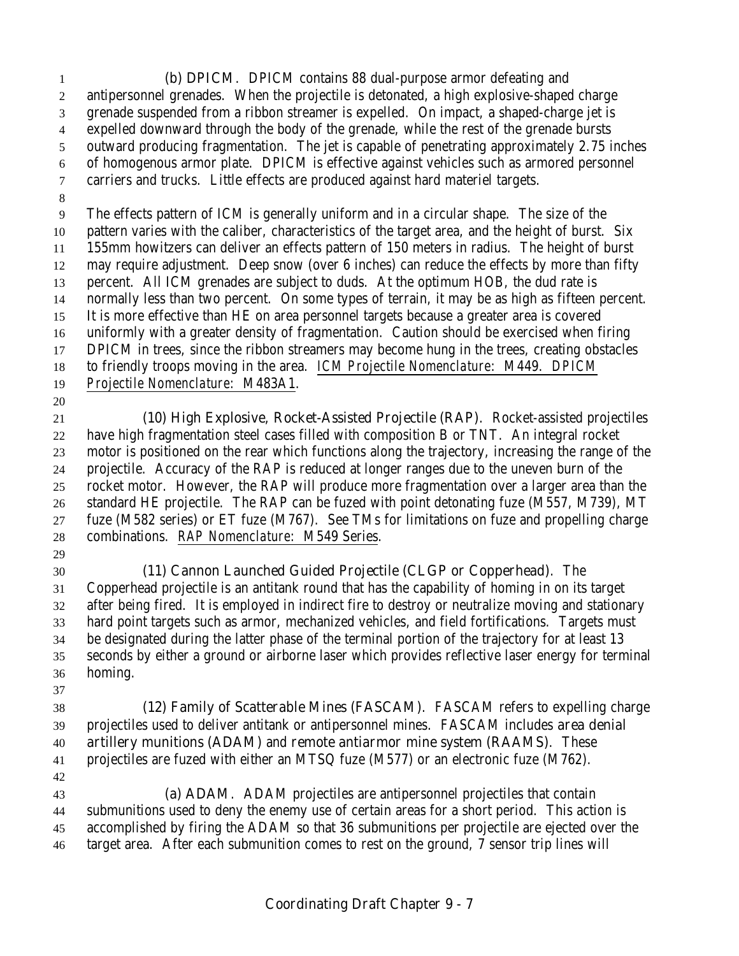**(b) DPICM**. DPICM contains 88 dual-purpose armor defeating and antipersonnel grenades. When the projectile is detonated, a high explosive-shaped charge grenade suspended from a ribbon streamer is expelled. On impact, a shaped-charge jet is expelled downward through the body of the grenade, while the rest of the grenade bursts outward producing fragmentation. The jet is capable of penetrating approximately 2.75 inches of homogenous armor plate. DPICM is effective against vehicles such as armored personnel carriers and trucks. Little effects are produced against hard materiel targets. The effects pattern of ICM is generally uniform and in a circular shape. The size of the pattern varies with the caliber, characteristics of the target area, and the height of burst. Six 155mm howitzers can deliver an effects pattern of 150 meters in radius. The height of burst may require adjustment. Deep snow (over 6 inches) can reduce the effects by more than fifty percent. All ICM grenades are subject to duds. At the optimum HOB, the dud rate is normally less than two percent. On some types of terrain, it may be as high as fifteen percent. It is more effective than HE on area personnel targets because a greater area is covered uniformly with a greater density of fragmentation. Caution should be exercised when firing DPICM in trees, since the ribbon streamers may become hung in the trees, creating obstacles to friendly troops moving in the area. *ICM Projectile Nomenclature*: M449. *DPICM Projectile Nomenclature*: M483A1. **(10) High Explosive, Rocket-Assisted Projectile (RAP)**. Rocket-assisted projectiles have high fragmentation steel cases filled with composition B or TNT. An integral rocket motor is positioned on the rear which functions along the trajectory, increasing the range of the projectile. Accuracy of the RAP is reduced at longer ranges due to the uneven burn of the rocket motor. However, the RAP will produce more fragmentation over a larger area than the standard HE projectile. The RAP can be fuzed with point detonating fuze (M557, M739), MT fuze (M582 series) or ET fuze (M767). See TMs for limitations on fuze and propelling charge combinations. *RAP Nomenclature*: M549 Series. **(11) Cannon Launched Guided Projectile (CLGP or Copperhead)**. The Copperhead projectile is an antitank round that has the capability of homing in on its target after being fired. It is employed in indirect fire to destroy or neutralize moving and stationary hard point targets such as armor, mechanized vehicles, and field fortifications. Targets must be designated during the latter phase of the terminal portion of the trajectory for at least 13 seconds by either a ground or airborne laser which provides reflective laser energy for terminal homing. **(12) Family of Scatterable Mines (FASCAM)**. FASCAM refers to expelling charge projectiles used to deliver antitank or antipersonnel mines. FASCAM includes **area denial artillery munitions (ADAM)** and **remote antiarmor mine system (RAAMS)**. These projectiles are fuzed with either an MTSQ fuze (M577) or an electronic fuze (M762). **(a) ADAM**. ADAM projectiles are antipersonnel projectiles that contain submunitions used to deny the enemy use of certain areas for a short period. This action is accomplished by firing the ADAM so that 36 submunitions per projectile are ejected over the target area. After each submunition comes to rest on the ground, 7 sensor trip lines will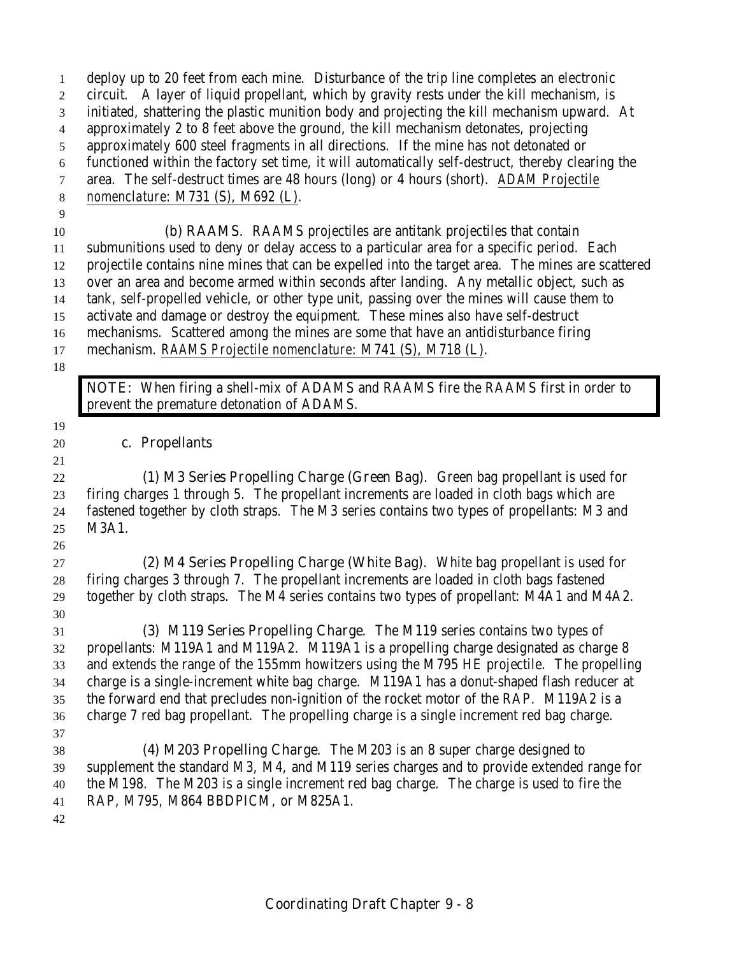deploy up to 20 feet from each mine. Disturbance of the trip line completes an electronic circuit. A layer of liquid propellant, which by gravity rests under the kill mechanism, is initiated, shattering the plastic munition body and projecting the kill mechanism upward. At approximately 2 to 8 feet above the ground, the kill mechanism detonates, projecting approximately 600 steel fragments in all directions. If the mine has not detonated or functioned within the factory set time, it will automatically self-destruct, thereby clearing the area. The self-destruct times are 48 hours (long) or 4 hours (short). *ADAM Projectile nomenclature*: M731 (S), M692 (L). **(b) RAAMS**. RAAMS projectiles are antitank projectiles that contain submunitions used to deny or delay access to a particular area for a specific period. Each projectile contains nine mines that can be expelled into the target area. The mines are scattered

 over an area and become armed within seconds after landing. Any metallic object, such as tank, self-propelled vehicle, or other type unit, passing over the mines will cause them to activate and damage or destroy the equipment. These mines also have self-destruct mechanisms. Scattered among the mines are some that have an antidisturbance firing

mechanism. *RAAMS Projectile nomenclature*: M741 (S), M718 (L).

**NOTE:** When firing a shell-mix of ADAMS and RAAMS fire the RAAMS first in order to prevent the premature detonation of ADAMS.

#### **c. Propellants**

 **(1) M3 Series Propelling Charge (Green Bag)**. Green bag propellant is used for firing charges 1 through 5. The propellant increments are loaded in cloth bags which are fastened together by cloth straps. The M3 series contains two types of propellants: M3 and M3A1.

 **(2) M4 Series Propelling Charge (White Bag)**. White bag propellant is used for firing charges 3 through 7. The propellant increments are loaded in cloth bags fastened together by cloth straps. The M4 series contains two types of propellant: M4A1 and M4A2. 

 **(3) M119 Series Propelling Charge**. The M119 series contains two types of propellants: M119A1 and M119A2. M119A1 is a propelling charge designated as charge 8 and extends the range of the 155mm howitzers using the M795 HE projectile. The propelling charge is a single-increment white bag charge. M119A1 has a donut-shaped flash reducer at the forward end that precludes non-ignition of the rocket motor of the RAP. M119A2 is a charge 7 red bag propellant. The propelling charge is a single increment red bag charge. 

 **(4) M203 Propelling Charge**. The M203 is an 8 super charge designed to supplement the standard M3, M4, and M119 series charges and to provide extended range for the M198. The M203 is a single increment red bag charge. The charge is used to fire the RAP, M795, M864 BBDPICM, or M825A1.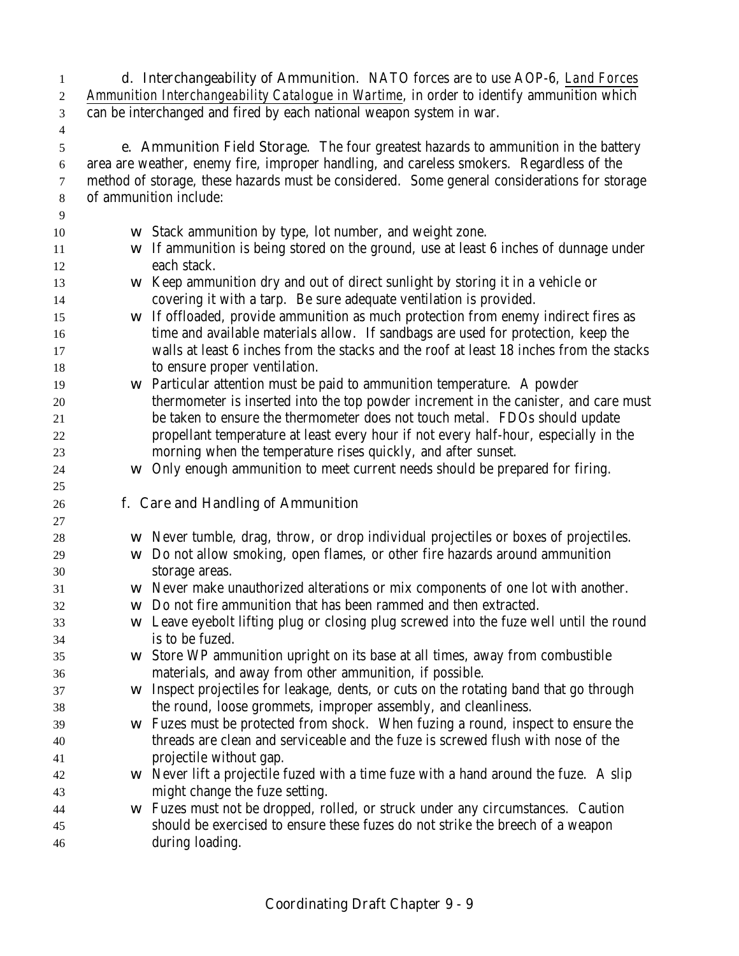**d. Interchangeability of Ammunition**. NATO forces are to use AOP-6, *Land Forces Ammunition Interchangeability Catalogue in Wartime*, in order to identify ammunition which can be interchanged and fired by each national weapon system in war.

 **e. Ammunition Field Storage**. The four greatest hazards to ammunition in the battery area are weather, enemy fire, improper handling, and careless smokers. Regardless of the method of storage, these hazards must be considered. Some general considerations for storage of ammunition include:

 w Stack ammunition by type, lot number, and weight zone. w If ammunition is being stored on the ground, use at least 6 inches of dunnage under each stack. w Keep ammunition dry and out of direct sunlight by storing it in a vehicle or covering it with a tarp. Be sure adequate ventilation is provided. w If offloaded, provide ammunition as much protection from enemy indirect fires as time and available materials allow. If sandbags are used for protection, keep the walls at least 6 inches from the stacks and the roof at least 18 inches from the stacks to ensure proper ventilation. w Particular attention must be paid to ammunition temperature. A powder thermometer is inserted into the top powder increment in the canister, and care must be taken to ensure the thermometer does not touch metal. FDOs should update propellant temperature at least every hour if not every half-hour, especially in the morning when the temperature rises quickly, and after sunset. w Only enough ammunition to meet current needs should be prepared for firing. **f. Care and Handling of Ammunition** w Never tumble, drag, throw, or drop individual projectiles or boxes of projectiles. w Do not allow smoking, open flames, or other fire hazards around ammunition storage areas. w Never make unauthorized alterations or mix components of one lot with another. w Do not fire ammunition that has been rammed and then extracted. w Leave eyebolt lifting plug or closing plug screwed into the fuze well until the round is to be fuzed. w Store WP ammunition upright on its base at all times, away from combustible materials, and away from other ammunition, if possible. w Inspect projectiles for leakage, dents, or cuts on the rotating band that go through the round, loose grommets, improper assembly, and cleanliness. w Fuzes must be protected from shock. When fuzing a round, inspect to ensure the threads are clean and serviceable and the fuze is screwed flush with nose of the projectile without gap. w Never lift a projectile fuzed with a time fuze with a hand around the fuze. A slip might change the fuze setting. w Fuzes must not be dropped, rolled, or struck under any circumstances. Caution should be exercised to ensure these fuzes do not strike the breech of a weapon during loading.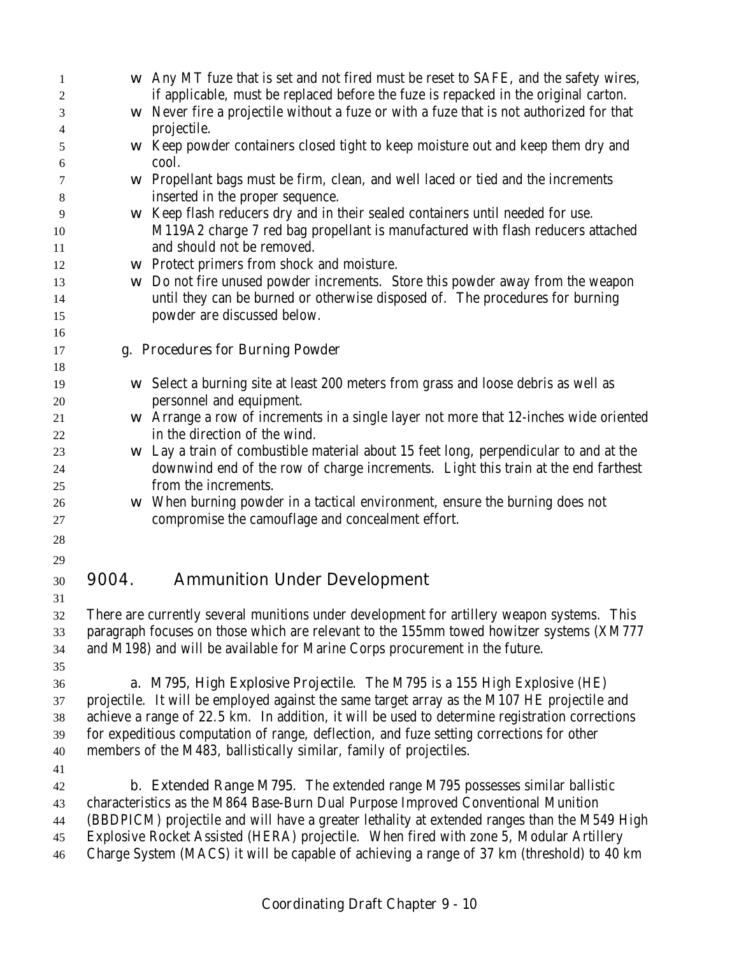| $\mathbf{1}$ | W     | Any MT fuze that is set and not fired must be reset to SAFE, and the safety wires,             |
|--------------|-------|------------------------------------------------------------------------------------------------|
| 2            |       | if applicable, must be replaced before the fuze is repacked in the original carton.            |
| 3            | W     | Never fire a projectile without a fuze or with a fuze that is not authorized for that          |
| 4            |       | projectile.                                                                                    |
| 5            | W     | Keep powder containers closed tight to keep moisture out and keep them dry and                 |
| 6            |       | cool.                                                                                          |
| 7            | W     | Propellant bags must be firm, clean, and well laced or tied and the increments                 |
| 8            |       | inserted in the proper sequence.                                                               |
| 9            | W     | Keep flash reducers dry and in their sealed containers until needed for use.                   |
| 10           |       | M119A2 charge 7 red bag propellant is manufactured with flash reducers attached                |
| 11           |       | and should not be removed.                                                                     |
| 12           | W     | Protect primers from shock and moisture.                                                       |
| 13           | W     | Do not fire unused powder increments. Store this powder away from the weapon                   |
| 14           |       | until they can be burned or otherwise disposed of. The procedures for burning                  |
| 15           |       | powder are discussed below.                                                                    |
| 16           |       |                                                                                                |
| 17           |       | g. Procedures for Burning Powder                                                               |
| 18           |       |                                                                                                |
| 19           | W     | Select a burning site at least 200 meters from grass and loose debris as well as               |
| 20           |       | personnel and equipment.                                                                       |
| 21           | W     | Arrange a row of increments in a single layer not more that 12-inches wide oriented            |
| 22           |       | in the direction of the wind.                                                                  |
| 23           | W     | Lay a train of combustible material about 15 feet long, perpendicular to and at the            |
| 24           |       | downwind end of the row of charge increments. Light this train at the end farthest             |
| 25           |       | from the increments.                                                                           |
| 26           | W     | When burning powder in a tactical environment, ensure the burning does not                     |
| 27           |       | compromise the camouflage and concealment effort.                                              |
| 28           |       |                                                                                                |
| 29           |       |                                                                                                |
| 30           | 9004. | <b>Ammunition Under Development</b>                                                            |
| 31           |       |                                                                                                |
| 32           |       | There are currently several munitions under development for artillery weapon systems. This     |
| 33           |       | paragraph focuses on those which are relevant to the 155mm towed howitzer systems (XM777       |
| 34           |       | and M198) and will be available for Marine Corps procurement in the future.                    |
| 35           |       |                                                                                                |
| 36           |       | <b>a. M795, High Explosive Projectile.</b> The M795 is a 155 High Explosive (HE)               |
| 37           |       | projectile. It will be employed against the same target array as the M107 HE projectile and    |
| 38           |       | achieve a range of 22.5 km. In addition, it will be used to determine registration corrections |
| 39           |       | for expeditious computation of range, deflection, and fuze setting corrections for other       |
| 40           |       | members of the M483, ballistically similar, family of projectiles.                             |
| 41           |       |                                                                                                |
| 42           |       | <b>b. Extended Range M795.</b> The extended range M795 possesses similar ballistic             |
|              |       | characteristics as the M864 Base-Burn Dual Purpose Improved Conventional Munition              |
| 43           |       | (BBDPICM) projectile and will have a greater lethality at extended ranges than the M549 High   |
| 44           |       | Explosive Rocket Assisted (HERA) projectile. When fired with zone 5, Modular Artillery         |
| 45           |       | Charge System (MACS) it will be capable of achieving a range of 37 km (threshold) to 40 km     |
| 46           |       |                                                                                                |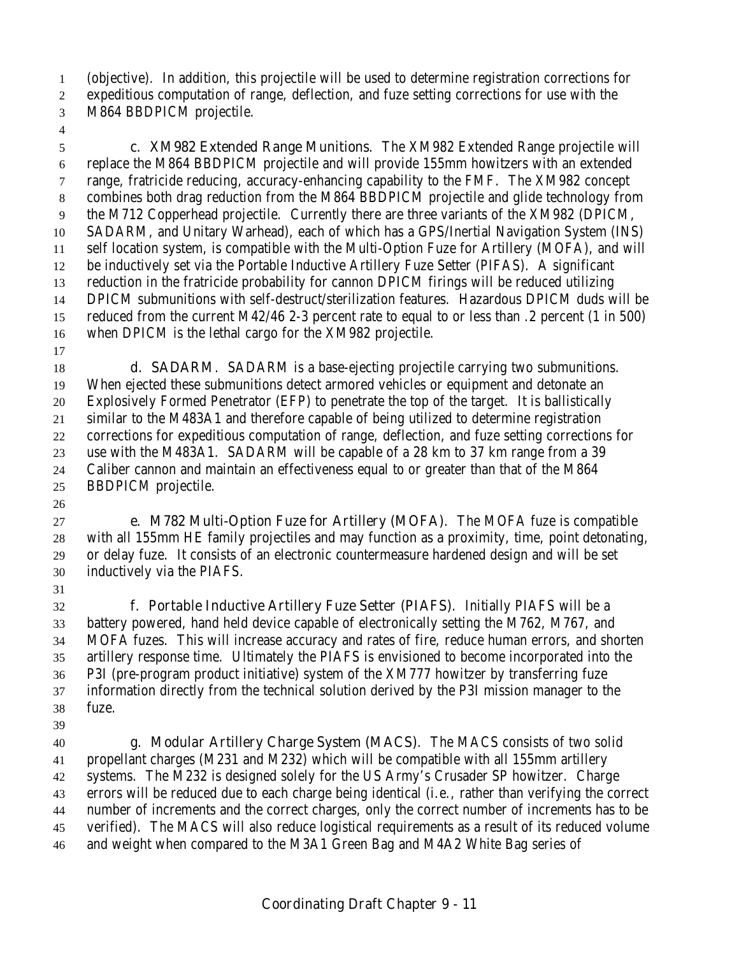(objective). In addition, this projectile will be used to determine registration corrections for expeditious computation of range, deflection, and fuze setting corrections for use with the

M864 BBDPICM projectile.

 **c. XM982 Extended Range Munitions**. The XM982 Extended Range projectile will replace the M864 BBDPICM projectile and will provide 155mm howitzers with an extended range, fratricide reducing, accuracy-enhancing capability to the FMF. The XM982 concept combines both drag reduction from the M864 BBDPICM projectile and glide technology from the M712 Copperhead projectile. Currently there are three variants of the XM982 (DPICM, SADARM, and Unitary Warhead), each of which has a GPS/Inertial Navigation System (INS) self location system, is compatible with the Multi-Option Fuze for Artillery (MOFA), and will be inductively set via the Portable Inductive Artillery Fuze Setter (PIFAS). A significant reduction in the fratricide probability for cannon DPICM firings will be reduced utilizing DPICM submunitions with self-destruct/sterilization features. Hazardous DPICM duds will be reduced from the current M42/46 2-3 percent rate to equal to or less than .2 percent (1 in 500) when DPICM is the lethal cargo for the XM982 projectile.

 **d. SADARM**. SADARM is a base-ejecting projectile carrying two submunitions. When ejected these submunitions detect armored vehicles or equipment and detonate an Explosively Formed Penetrator (EFP) to penetrate the top of the target. It is ballistically similar to the M483A1 and therefore capable of being utilized to determine registration corrections for expeditious computation of range, deflection, and fuze setting corrections for use with the M483A1. SADARM will be capable of a 28 km to 37 km range from a 39 Caliber cannon and maintain an effectiveness equal to or greater than that of the M864 BBDPICM projectile.

 **e. M782 Multi-Option Fuze for Artillery (MOFA)**. The MOFA fuze is compatible with all 155mm HE family projectiles and may function as a proximity, time, point detonating, or delay fuze. It consists of an electronic countermeasure hardened design and will be set inductively via the PIAFS.

 **f. Portable Inductive Artillery Fuze Setter (PIAFS)**. Initially PIAFS will be a battery powered, hand held device capable of electronically setting the M762, M767, and MOFA fuzes. This will increase accuracy and rates of fire, reduce human errors, and shorten artillery response time. Ultimately the PIAFS is envisioned to become incorporated into the P3I (pre-program product initiative) system of the XM777 howitzer by transferring fuze information directly from the technical solution derived by the P3I mission manager to the fuze. 

 **g. Modular Artillery Charge System (MACS)**. The MACS consists of two solid propellant charges (M231 and M232) which will be compatible with all 155mm artillery systems. The M232 is designed solely for the US Army's Crusader SP howitzer. Charge errors will be reduced due to each charge being identical (i.e., rather than verifying the correct number of increments and the correct charges, only the correct number of increments has to be verified). The MACS will also reduce logistical requirements as a result of its reduced volume and weight when compared to the M3A1 Green Bag and M4A2 White Bag series of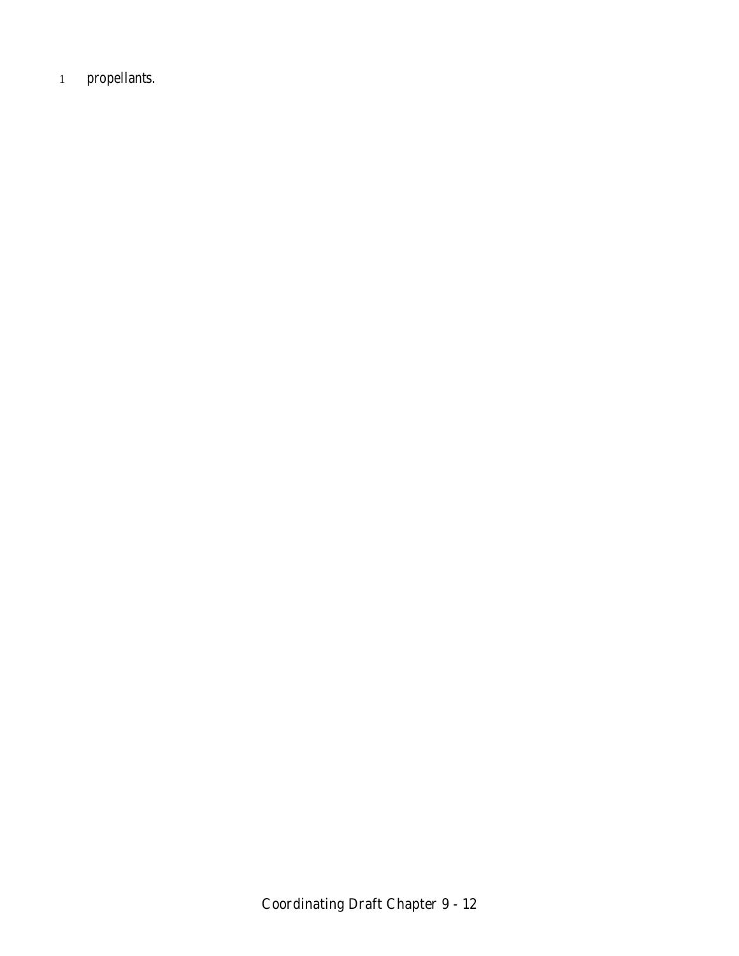1 propellants.